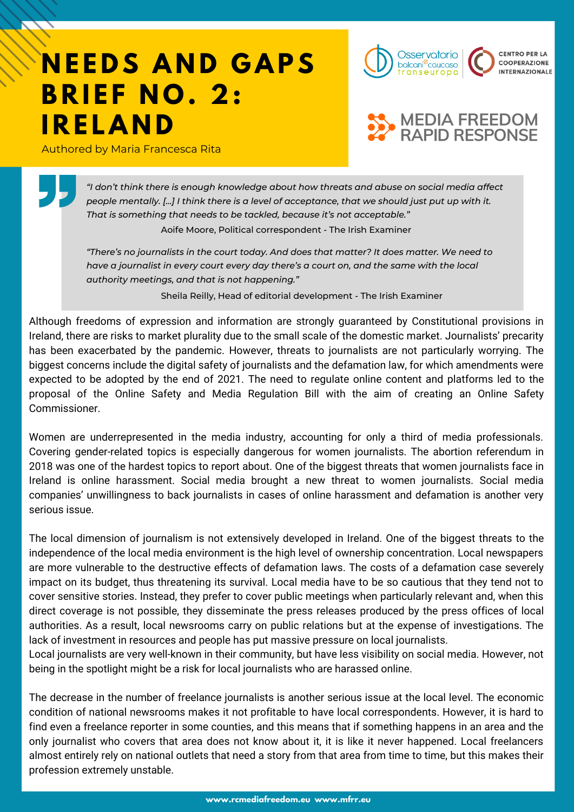# **NEEDS AND GAPS B R I E F N O . 2 : I R E L A N D**

Authored by Maria Francesca Rita





*"I don't think there is enough knowledge about how threats and abuse on social media affect* people mentally. [...] I think there is a level of acceptance, that we should just put up with it. *That is something that needs to be tackled, because it's not acceptable."*

Aoife Moore, Political correspondent - The Irish Examiner

*"There's no journalists in the court today. And does that matter? It does matter. We need to have a journalist in every court every day there's a court on, and the same with the local authority meetings, and that is not happening."*

Sheila Reilly, Head of editorial development - The Irish Examiner

Although freedoms of expression and information are strongly guaranteed by Constitutional provisions in Ireland, there are risks to market plurality due to the small scale of the domestic market. Journalists' precarity has been exacerbated by the pandemic. However, threats to journalists are not particularly worrying. The biggest concerns include the digital safety of journalists and the defamation law, for which amendments were expected to be adopted by the end of 2021. The need to regulate online content and platforms led to the proposal of the Online Safety and Media Regulation Bill with the aim of creating an Online Safety Commissioner.

Women are underrepresented in the media industry, accounting for only a third of media professionals. Covering gender-related topics is especially dangerous for women journalists. The abortion referendum in 2018 was one of the hardest topics to report about. One of the biggest threats that women journalists face in Ireland is online harassment. Social media brought a new threat to women journalists. Social media companies' unwillingness to back journalists in cases of online harassment and defamation is another very serious issue.

The local dimension of journalism is not extensively developed in Ireland. One of the biggest threats to the independence of the local media environment is the high level of ownership concentration. Local newspapers are more vulnerable to the destructive effects of defamation laws. The costs of a defamation case severely impact on its budget, thus threatening its survival. Local media have to be so cautious that they tend not to cover sensitive stories. Instead, they prefer to cover public meetings when particularly relevant and, when this direct coverage is not possible, they disseminate the press releases produced by the press offices of local authorities. As a result, local newsrooms carry on public relations but at the expense of investigations. The lack of investment in resources and people has put massive pressure on local journalists.

Local journalists are very well-known in their community, but have less visibility on social media. However, not being in the spotlight might be a risk for local journalists who are harassed online.

The decrease in the number of freelance journalists is another serious issue at the local level. The economic condition of national newsrooms makes it not profitable to have local correspondents. However, it is hard to find even a freelance reporter in some counties, and this means that if something happens in an area and the only journalist who covers that area does not know about it, it is like it never happened. Local freelancers almost entirely rely on national outlets that need a story from that area from time to time, but this makes their profession extremely unstable.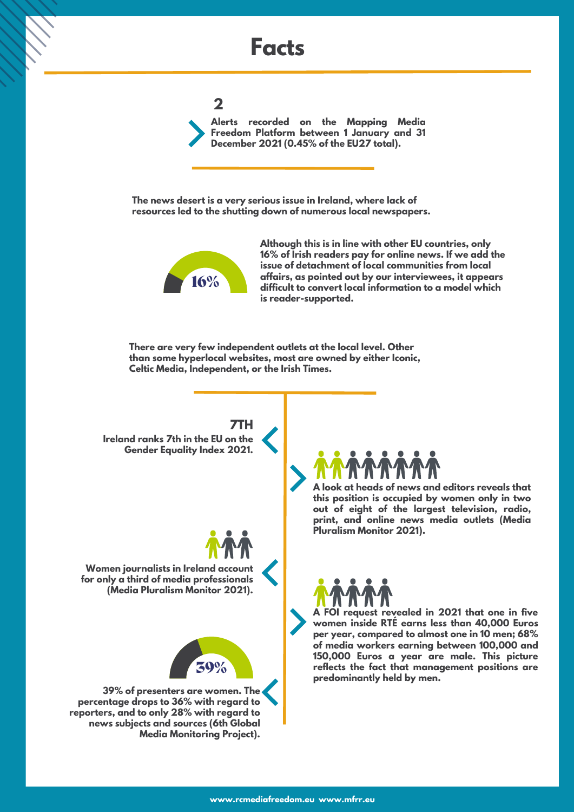# **Facts**

#### **2**

**Alerts recorded on the Mapping Media Freedom Platform between 1 January and 31 December 2021 (0.45% of the EU27 total).**

**The news desert is a very serious issue in Ireland, where lack of resources led to the shutting down of numerous local newspapers.**



**16% difficult to convert local information to a model which Although this is in line with other EU countries, only 16% of Irish readers pay for online news. If we add the issue of detachment of local communities from local affairs, as pointed out by our interviewees, it appears is reader-supported.**

**There are very few independent outlets at the local level. Other than some hyperlocal websites, most are owned by either Iconic, Celtic Media, Independent, or the Irish Times.**

**Ireland ranks 7th in the EU on the Gender Equality Index 2021. 7TH**

**Women journalists in Ireland account for only a third of media professionals (Media Pluralism Monitor 2021).**



**39% of presenters are women. The percentage drops to 36% with regard to reporters, and to only 28% with regard to news subjects and sources (6th Global Media Monitoring Project).**



**A look at heads of news and editors reveals that this position is occupied by women only in two out of eight of the largest television, radio, print, and online news media outlets (Media Pluralism Monitor 2021).**



**A FOI request revealed in 2021 that one in five women inside RTÉ earns less than 40,000 Euros per year, compared to almost one in 10 men; 68% of media workers earning between 100,000 and 150,000 Euros a year are male. This picture reflects the fact that management positions are predominantly held by men.**